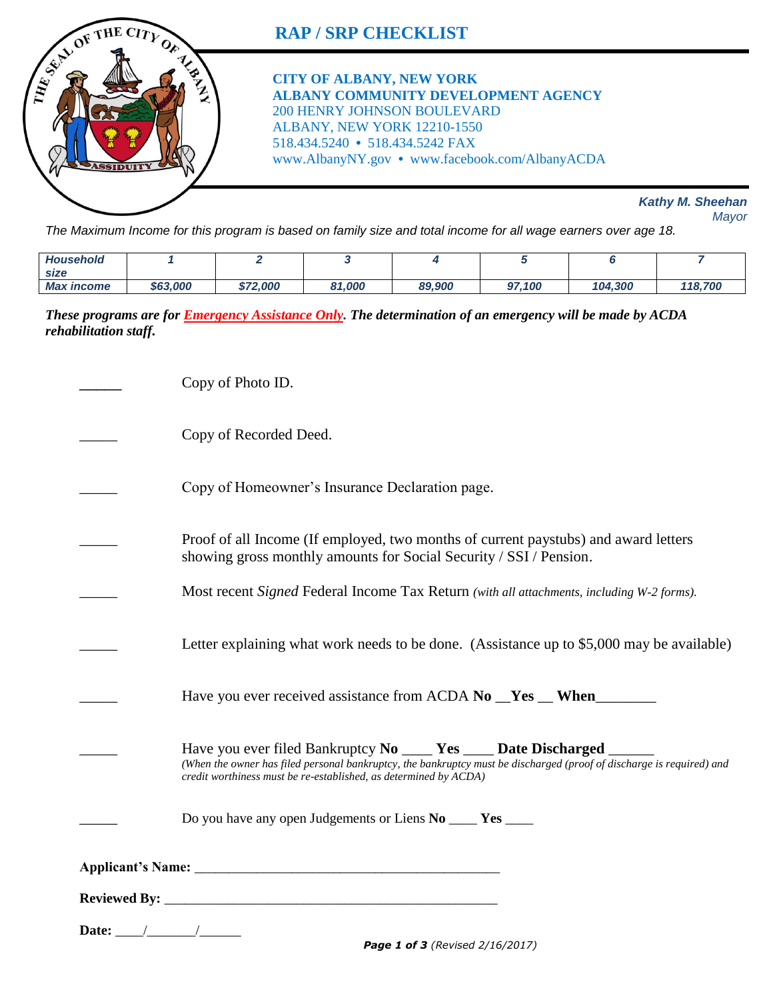

*The Maximum Income for this program is based on family size and total income for all wage earners over age 18.* 

| <b>Household</b>            |          |          |                          |        |            |         |         |
|-----------------------------|----------|----------|--------------------------|--------|------------|---------|---------|
| size                        |          |          |                          |        |            |         |         |
| <b>Max</b><br><i>income</i> | \$63,000 | \$72,000 | 1,000ء<br>O <sub>4</sub> | 89,900 | .100<br>67 | 104.300 | 118,700 |

*These programs are for Emergency Assistance Only. The determination of an emergency will be made by ACDA rehabilitation staff.*

|       | Copy of Photo ID.                                                                                                                                                                                                                                                     |  |  |  |
|-------|-----------------------------------------------------------------------------------------------------------------------------------------------------------------------------------------------------------------------------------------------------------------------|--|--|--|
|       | Copy of Recorded Deed.                                                                                                                                                                                                                                                |  |  |  |
|       | Copy of Homeowner's Insurance Declaration page.                                                                                                                                                                                                                       |  |  |  |
|       | Proof of all Income (If employed, two months of current paystubs) and award letters<br>showing gross monthly amounts for Social Security / SSI / Pension.                                                                                                             |  |  |  |
|       | Most recent Signed Federal Income Tax Return (with all attachments, including W-2 forms).                                                                                                                                                                             |  |  |  |
|       | Letter explaining what work needs to be done. (Assistance up to \$5,000 may be available)                                                                                                                                                                             |  |  |  |
|       | Have you ever received assistance from ACDA No _Yes _ When                                                                                                                                                                                                            |  |  |  |
|       | Have you ever filed Bankruptcy No _____ Yes _____ Date Discharged ______<br>(When the owner has filed personal bankruptcy, the bankruptcy must be discharged (proof of discharge is required) and<br>credit worthiness must be re-established, as determined by ACDA) |  |  |  |
|       | Do you have any open Judgements or Liens No ____ Yes ____                                                                                                                                                                                                             |  |  |  |
|       |                                                                                                                                                                                                                                                                       |  |  |  |
|       |                                                                                                                                                                                                                                                                       |  |  |  |
| Date: |                                                                                                                                                                                                                                                                       |  |  |  |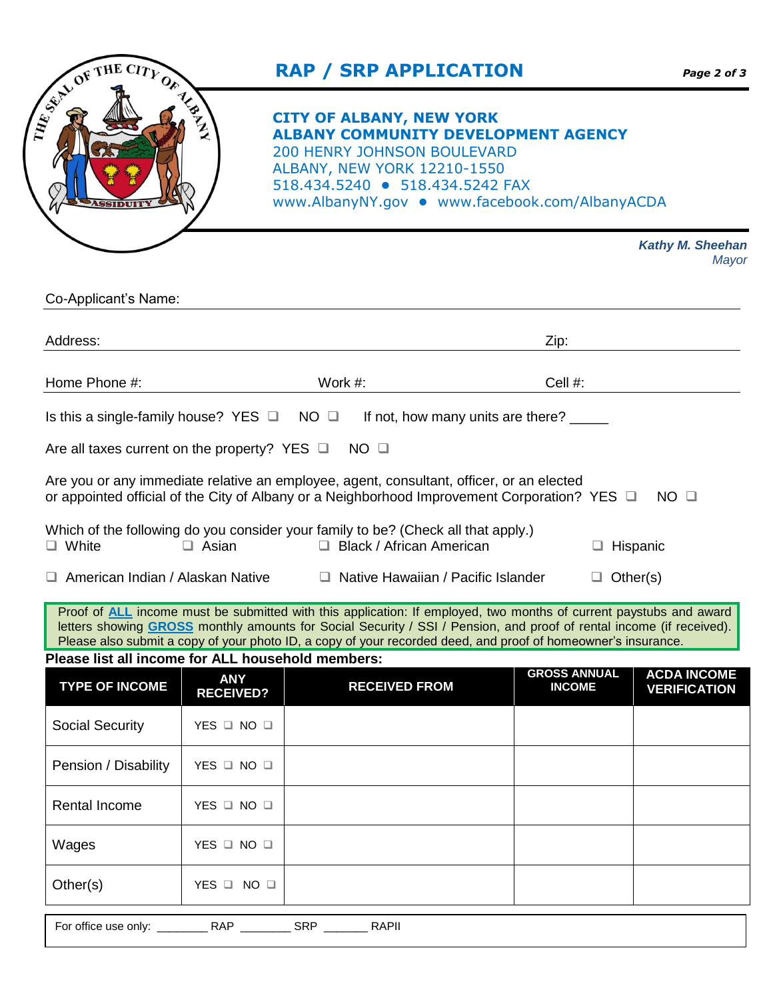